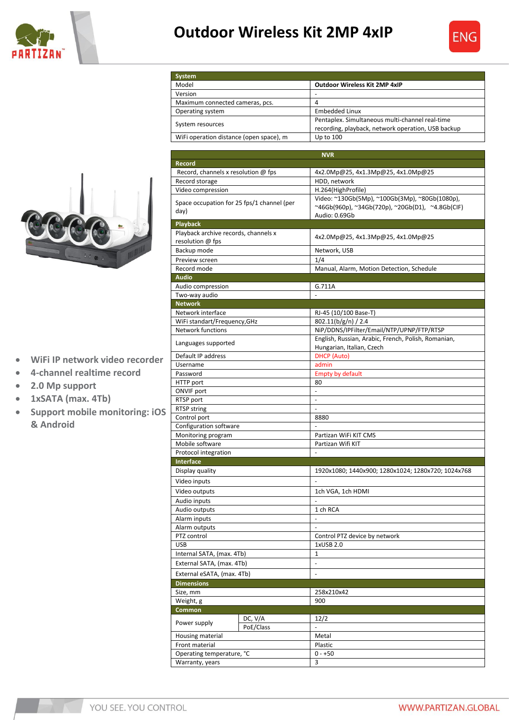

## **Outdoor Wireless Kit 2MP 4xIP**

**Outdoor Wireless Kit 2MP 4xIP** 

**System**

Version





- **WiFi IP network video recorder**
- **4-channel realtime record**
- **2.0 Mp support**
- **1xSATA (max. 4Tb)**
- **Support mobile monitoring: iOS & Android**

| Maximum connected cameras, pcs.                       |           | 4                                                   |
|-------------------------------------------------------|-----------|-----------------------------------------------------|
| Operating system                                      |           | <b>Embedded Linux</b>                               |
| System resources                                      |           | Pentaplex. Simultaneous multi-channel real-time     |
|                                                       |           | recording, playback, network operation, USB backup  |
| WiFi operation distance (open space), m               |           | Up to 100                                           |
|                                                       |           |                                                     |
| <b>Record</b>                                         |           | <b>NVR</b>                                          |
|                                                       |           | 4x2.0Mp@25, 4x1.3Mp@25, 4x1.0Mp@25                  |
| Record, channels x resolution @ fps<br>Record storage |           | HDD, network                                        |
| Video compression                                     |           | H.264(HighProfile)                                  |
|                                                       |           | Video: ~130Gb(5Mp), ~100Gb(3Mp), ~80Gb(1080p),      |
| Space occupation for 25 fps/1 channel (per            |           | ~46Gb(960p), ~34Gb(720p), ~20Gb(D1), ~4.8Gb(CIF)    |
| day)                                                  |           | Audio: 0.69Gb                                       |
| <b>Playback</b>                                       |           |                                                     |
| Playback archive records, channels x                  |           |                                                     |
| resolution @ fps                                      |           | 4x2.0Mp@25, 4x1.3Mp@25, 4x1.0Mp@25                  |
| Backup mode                                           |           | Network, USB                                        |
| Preview screen                                        |           | 1/4                                                 |
| Record mode                                           |           | Manual, Alarm, Motion Detection, Schedule           |
| Audio                                                 |           |                                                     |
| Audio compression                                     |           | G.711A                                              |
| Two-way audio                                         |           |                                                     |
| <b>Network</b>                                        |           |                                                     |
| Network interface                                     |           | RJ-45 (10/100 Base-T)                               |
| WiFi standart/Frequency, GHz                          |           | 802.11(b/g/n) / 2.4                                 |
| <b>Network functions</b>                              |           | NiP/DDNS/IPFilter/Email/NTP/UPNP/FTP/RTSP           |
| Languages supported                                   |           | English, Russian, Arabic, French, Polish, Romanian, |
|                                                       |           | Hungarian, Italian, Czech<br><b>DHCP</b> (Auto)     |
| Default IP address<br>Username                        |           | admin                                               |
| Password                                              |           | <b>Empty by default</b>                             |
| HTTP port                                             |           | 80                                                  |
| <b>ONVIF</b> port                                     |           |                                                     |
| RTSP port                                             |           | $\frac{1}{2}$                                       |
| RTSP string                                           |           |                                                     |
| Control port                                          |           | 8880                                                |
| Configuration software                                |           |                                                     |
| Monitoring program                                    |           | Partizan WiFi KIT CMS                               |
| Mobile software                                       |           | Partizan Wifi KIT                                   |
| Protocol integration                                  |           |                                                     |
| Interface                                             |           |                                                     |
| Display quality                                       |           | 1920x1080; 1440x900; 1280x1024; 1280x720; 1024x768  |
| Video inputs                                          |           |                                                     |
| Video outputs                                         |           | 1ch VGA, 1ch HDMI                                   |
| Audio inputs                                          |           |                                                     |
| Audio outputs                                         |           | 1 ch RCA                                            |
| Alarm inputs                                          |           |                                                     |
| Alarm outputs                                         |           | Ξ                                                   |
| PTZ control                                           |           | Control PTZ device by network                       |
| <b>USB</b>                                            |           | 1xUSB 2.0                                           |
| Internal SATA, (max. 4Tb)                             |           | $\mathbf{1}$                                        |
| External SATA, (max. 4Tb)                             |           | ÷                                                   |
| External eSATA, (max. 4Tb)                            |           | $\frac{1}{2}$                                       |
| <b>Dimensions</b>                                     |           |                                                     |
| Size, mm                                              |           | 258x210x42                                          |
| Weight, g                                             |           | 900                                                 |
| Common                                                |           |                                                     |
| Power supply                                          | DC, V/A   | 12/2                                                |
|                                                       | PoE/Class |                                                     |
| Housing material                                      |           | Metal                                               |
| Front material                                        |           | Plastic                                             |
| Operating temperature, °C                             |           | $0 - +50$                                           |
| Warranty, years                                       |           | 3                                                   |